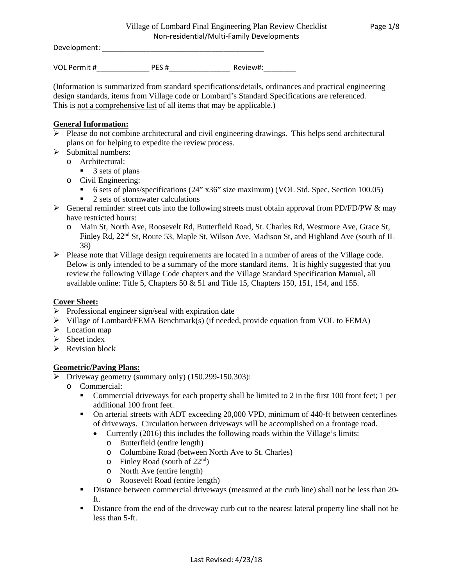Development: \_\_\_\_\_\_\_\_\_\_\_\_\_\_\_\_\_\_\_\_\_\_\_\_\_\_\_\_\_\_\_\_\_\_\_\_\_\_\_\_

VOL Permit #\_\_\_\_\_\_\_\_\_\_\_\_\_ PES #\_\_\_\_\_\_\_\_\_\_\_\_\_\_\_ Review#:\_\_\_\_\_\_\_\_

(Information is summarized from standard specifications/details, ordinances and practical engineering design standards, items from Village code or Lombard's Standard Specifications are referenced. This is not a comprehensive list of all items that may be applicable.)

#### **General Information:**

- $\triangleright$  Please do not combine architectural and civil engineering drawings. This helps send architectural plans on for helping to expedite the review process.
- $\triangleright$  Submittal numbers:
	- o Architectural:
		- $\blacksquare$  3 sets of plans
	- o Civil Engineering:
		- 6 sets of plans/specifications (24" x36" size maximum) (VOL Std. Spec. Section 100.05)
		- $\blacksquare$  2 sets of stormwater calculations
- $\triangleright$  General reminder: street cuts into the following streets must obtain approval from PD/FD/PW & may have restricted hours:
	- o Main St, North Ave, Roosevelt Rd, Butterfield Road, St. Charles Rd, Westmore Ave, Grace St, Finley Rd, 22<sup>nd</sup> St, Route 53, Maple St, Wilson Ave, Madison St, and Highland Ave (south of IL 38)
- $\triangleright$  Please note that Village design requirements are located in a number of areas of the Village code. Below is only intended to be a summary of the more standard items. It is highly suggested that you review the following Village Code chapters and the Village Standard Specification Manual, all available online: Title 5, Chapters  $50 \& 51$  and Title 15, Chapters 150, 151, 154, and 155.

### **Cover Sheet:**

- $\triangleright$  Professional engineer sign/seal with expiration date
- $\triangleright$  Village of Lombard/FEMA Benchmark(s) (if needed, provide equation from VOL to FEMA)
- $\triangleright$  Location map
- $\triangleright$  Sheet index
- $\triangleright$  Revision block

#### **Geometric/Paving Plans:**

- Driveway geometry (summary only) (150.299-150.303):
	- o Commercial:
		- Commercial driveways for each property shall be limited to 2 in the first 100 front feet; 1 per additional 100 front feet.
		- On arterial streets with ADT exceeding 20,000 VPD, minimum of 440-ft between centerlines of driveways. Circulation between driveways will be accomplished on a frontage road.
			- Currently (2016) this includes the following roads within the Village's limits:
				- o Butterfield (entire length)
				- o Columbine Road (between North Ave to St. Charles)
				- $\circ$  Finley Road (south of 22<sup>nd</sup>)
				- o North Ave (entire length)
				- o Roosevelt Road (entire length)
		- Distance between commercial driveways (measured at the curb line) shall not be less than 20 ft.
		- Distance from the end of the driveway curb cut to the nearest lateral property line shall not be less than 5-ft.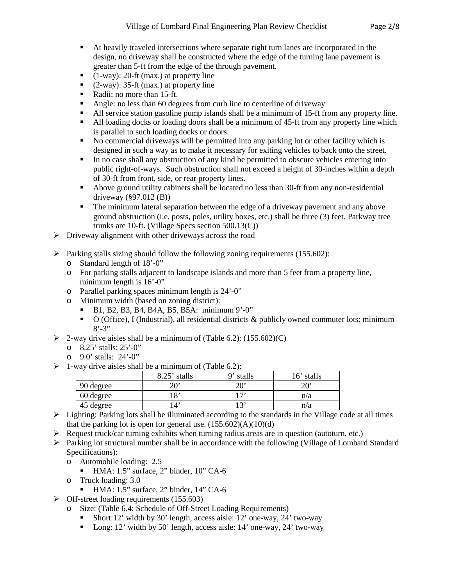- At heavily traveled intersections where separate right turn lanes are incorporated in the design, no driveway shall be constructed where the edge of the turning lane pavement is greater than 5-ft from the edge of the through pavement.
- $(1$ -way): 20-ft (max.) at property line
- $(2-way): 35-ft (max.)$  at property line
- Radii: no more than 15-ft.
- Angle: no less than 60 degrees from curb line to centerline of driveway
- All service station gasoline pump islands shall be a minimum of 15-ft from any property line.
- All loading docks or loading doors shall be a minimum of 45-ft from any property line which is parallel to such loading docks or doors.
- No commercial driveways will be permitted into any parking lot or other facility which is designed in such a way as to make it necessary for exiting vehicles to back onto the street.
- In no case shall any obstruction of any kind be permitted to obscure vehicles entering into public right-of-ways. Such obstruction shall not exceed a height of 30-inches within a depth of 30-ft from front, side, or rear property lines.
- Above ground utility cabinets shall be located no less than 30-ft from any non-residential driveway (§97.012 (B))
- The minimum lateral separation between the edge of a driveway pavement and any above ground obstruction (i.e. posts, poles, utility boxes, etc.) shall be three (3) feet. Parkway tree trunks are 10-ft. (Village Specs section 500.13(C))
- $\triangleright$  Driveway alignment with other driveways across the road
- $\triangleright$  Parking stalls sizing should follow the following zoning requirements (155.602):
	- o Standard length of 18'-0"
	- o For parking stalls adjacent to landscape islands and more than 5 feet from a property line, minimum length is  $16'$ -0"
	- o Parallel parking spaces minimum length is 24'-0"
	- o Minimum width (based on zoning district):<br> **B** 1, B<sub>2</sub>, B<sub>3</sub>, B<sub>4</sub>, B<sub>4</sub>A, B<sub>5</sub>, B<sub>5</sub>A; minim
		- B1, B2, B3, B4, B4A, B5, B5A: minimum 9'-0"
		- $\bullet$  O (Office), I (Industrial), all residential districts & publicly owned commuter lots: minimum  $8' - 3"$
- $\geq$  2-way drive aisles shall be a minimum of (Table 6.2): (155.602)(C)
	- o 8.25' stalls: 25'-0"
	- o 9.0' stalls: 24'-0"
- $\triangleright$  1-way drive aisles shall be a minimum of (Table 6.2):

|           | 8.25'<br>stalls | g,<br>stalls | 16' stalls |
|-----------|-----------------|--------------|------------|
| 90 degree | יחר             | י הר         |            |
| 60 degree | 18'             | 172          | n/a        |
| 45 degree | 4               | 1 ຕາ         | n/a        |

- $\triangleright$  Lighting: Parking lots shall be illuminated according to the standards in the Village code at all times that the parking lot is open for general use.  $(155.602)(A)(10)(d)$
- $\triangleright$  Request truck/car turning exhibits when turning radius areas are in question (autoturn, etc.)
- $\triangleright$  Parking lot structural number shall be in accordance with the following (Village of Lombard Standard Specifications):
	- o Automobile loading: 2.5
		- HMA: 1.5" surface, 2" binder, 10" CA-6
	- o Truck loading: 3.0
		- $\blacksquare$  HMA: 1.5" surface, 2" binder, 14" CA-6
- $\triangleright$  Off-street loading requirements (155.603)
	- o Size: (Table 6.4: Schedule of Off-Street Loading Requirements)
		- Short:12' width by 30' length, access aisle: 12' one-way, 24' two-way
		- Long: 12' width by 50' length, access aisle: 14' one-way, 24' two-way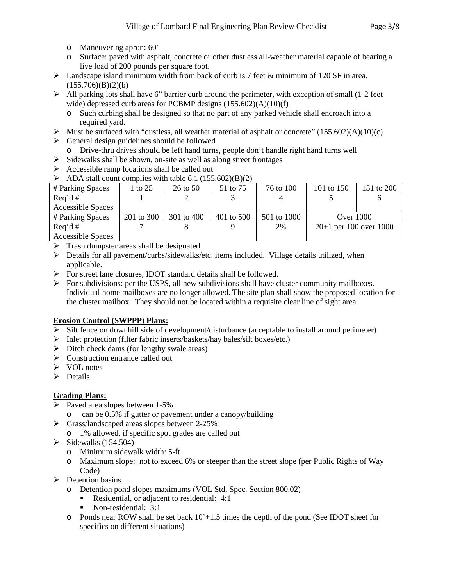- o Maneuvering apron: 60'
- o Surface: paved with asphalt, concrete or other dustless all-weather material capable of bearing a live load of 200 pounds per square foot.
- $\triangleright$  Landscape island minimum width from back of curb is 7 feet & minimum of 120 SF in area.  $(155.706)(B)(2)(b)$
- $\triangleright$  All parking lots shall have 6" barrier curb around the perimeter, with exception of small (1-2 feet wide) depressed curb areas for PCBMP designs  $(155.602)(A)(10)(f)$ 
	- o Such curbing shall be designed so that no part of any parked vehicle shall encroach into a required yard.
- $\triangleright$  Must be surfaced with "dustless, all weather material of asphalt or concrete" (155.602)(A)(10)(c)
- $\triangleright$  General design guidelines should be followed
	- o Drive-thru drives should be left hand turns, people don't handle right hand turns well
- $\triangleright$  Sidewalks shall be shown, on-site as well as along street frontages
- $\triangleright$  Accessible ramp locations shall be called out
- $\triangleright$  ADA stall count complies with table 6.1 (155.602)(B)(2)

| # Parking Spaces         | to 25      | 26 to 50   | 51 to 75   | 76 to 100   | 101 to 150               | 151 to 200 |
|--------------------------|------------|------------|------------|-------------|--------------------------|------------|
| $\text{Re}q' d \#$       |            |            |            |             |                          |            |
| <b>Accessible Spaces</b> |            |            |            |             |                          |            |
| # Parking Spaces         | 201 to 300 | 301 to 400 | 401 to 500 | 501 to 1000 | <b>Over 1000</b>         |            |
| $\text{Re}q' d \#$       |            |            |            | 2%          | $20+1$ per 100 over 1000 |            |
| <b>Accessible Spaces</b> |            |            |            |             |                          |            |

- $\triangleright$  Trash dumpster areas shall be designated
- $\triangleright$  Details for all pavement/curbs/sidewalks/etc. items included. Village details utilized, when applicable.
- For street lane closures, IDOT standard details shall be followed.
- $\triangleright$  For subdivisions: per the USPS, all new subdivisions shall have cluster community mailboxes. Individual home mailboxes are no longer allowed. The site plan shall show the proposed location for the cluster mailbox. They should not be located within a requisite clear line of sight area.

### **Erosion Control (SWPPP) Plans:**

- $\triangleright$  Silt fence on downhill side of development/disturbance (acceptable to install around perimeter)
- $\triangleright$  Inlet protection (filter fabric inserts/baskets/hay bales/silt boxes/etc.)
- $\triangleright$  Ditch check dams (for lengthy swale areas)
- $\triangleright$  Construction entrance called out
- $\triangleright$  VOL notes
- $\triangleright$  Details

# **Grading Plans:**

- $\triangleright$  Paved area slopes between 1-5%
	- o can be 0.5% if gutter or pavement under a canopy/building
- $\triangleright$  Grass/landscaped areas slopes between 2-25%
	- o 1% allowed, if specific spot grades are called out
- $\blacktriangleright$  Sidewalks (154.504)
	- o Minimum sidewalk width: 5-ft
	- o Maximum slope: not to exceed 6% or steeper than the street slope (per Public Rights of Way Code)
- $\triangleright$  Detention basins
	- o Detention pond slopes maximums (VOL Std. Spec. Section 800.02)
		- Residential, or adjacent to residential: 4:1
		- Non-residential: 3:1
	- o Ponds near ROW shall be set back 10'+1.5 times the depth of the pond (See IDOT sheet for specifics on different situations)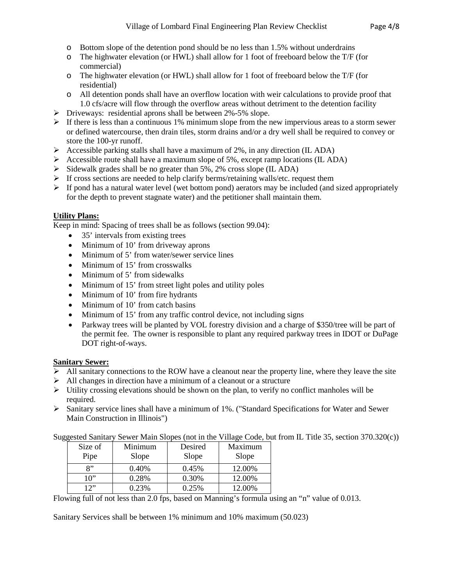- o Bottom slope of the detention pond should be no less than 1.5% without underdrains
- o The highwater elevation (or HWL) shall allow for 1 foot of freeboard below the T/F (for commercial)
- o The highwater elevation (or HWL) shall allow for 1 foot of freeboard below the T/F (for residential)
- o All detention ponds shall have an overflow location with weir calculations to provide proof that 1.0 cfs/acre will flow through the overflow areas without detriment to the detention facility
- Driveways: residential aprons shall be between 2%-5% slope.
- $\triangleright$  If there is less than a continuous 1% minimum slope from the new impervious areas to a storm sewer or defined watercourse, then drain tiles, storm drains and/or a dry well shall be required to convey or store the 100-yr runoff.
- Accessible parking stalls shall have a maximum of 2%, in any direction (IL ADA)
- Accessible route shall have a maximum slope of 5%, except ramp locations (IL ADA)
- $\triangleright$  Sidewalk grades shall be no greater than 5%, 2% cross slope (IL ADA)
- $\triangleright$  If cross sections are needed to help clarify berms/retaining walls/etc. request them
- $\triangleright$  If pond has a natural water level (wet bottom pond) aerators may be included (and sized appropriately for the depth to prevent stagnate water) and the petitioner shall maintain them.

# **Utility Plans:**

Keep in mind: Spacing of trees shall be as follows (section 99.04):

- 35' intervals from existing trees
- Minimum of 10' from driveway aprons
- Minimum of 5' from water/sewer service lines
- Minimum of 15' from crosswalks
- Minimum of 5' from sidewalks
- Minimum of 15' from street light poles and utility poles
- Minimum of 10' from fire hydrants
- Minimum of 10' from catch basins
- Minimum of 15' from any traffic control device, not including signs
- Parkway trees will be planted by VOL forestry division and a charge of \$350/tree will be part of the permit fee. The owner is responsible to plant any required parkway trees in IDOT or DuPage DOT right-of-ways.

### **Sanitary Sewer:**

- $\triangleright$  All sanitary connections to the ROW have a cleanout near the property line, where they leave the site
- $\triangleright$  All changes in direction have a minimum of a cleanout or a structure
- $\triangleright$  Utility crossing elevations should be shown on the plan, to verify no conflict manholes will be required.
- Sanitary service lines shall have a minimum of 1%. ("Standard Specifications for Water and Sewer Main Construction in Illinois")

Suggested Sanitary Sewer Main Slopes (not in the Village Code, but from IL Title 35, section 370.320(c))

| Size of<br>Pipe | Minimum<br>Slope | Desired<br>Slope | Maximum<br>Slope |
|-----------------|------------------|------------------|------------------|
| 8"              | 0.40%            | 0.45%            | 12.00%           |
| 10"             | 0.28%            | 0.30%            | 12.00%           |
| 1つ''            | 0.23%            | 0.25%            | 12.00%           |

Flowing full of not less than 2.0 fps, based on Manning's formula using an "n" value of 0.013.

Sanitary Services shall be between 1% minimum and 10% maximum (50.023)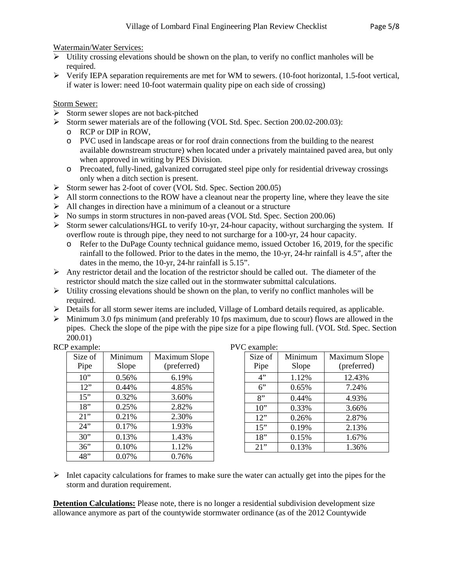Watermain/Water Services:

- $\triangleright$  Utility crossing elevations should be shown on the plan, to verify no conflict manholes will be required.
- $\triangleright$  Verify IEPA separation requirements are met for WM to sewers. (10-foot horizontal, 1.5-foot vertical, if water is lower: need 10-foot watermain quality pipe on each side of crossing)

# Storm Sewer:

- $\triangleright$  Storm sewer slopes are not back-pitched
- Storm sewer materials are of the following (VOL Std. Spec. Section 200.02-200.03):
	- o RCP or DIP in ROW,
	- o PVC used in landscape areas or for roof drain connections from the building to the nearest available downstream structure) when located under a privately maintained paved area, but only when approved in writing by PES Division.
	- o Precoated, fully-lined, galvanized corrugated steel pipe only for residential driveway crossings only when a ditch section is present.
- Storm sewer has 2-foot of cover (VOL Std. Spec. Section 200.05)
- $\triangleright$  All storm connections to the ROW have a cleanout near the property line, where they leave the site
- $\triangleright$  All changes in direction have a minimum of a cleanout or a structure
- No sumps in storm structures in non-paved areas (VOL Std. Spec. Section 200.06)
- Storm sewer calculations/HGL to verify 10-yr, 24-hour capacity, without surcharging the system. If overflow route is through pipe, they need to not surcharge for a 100-yr, 24 hour capacity.
	- o Refer to the DuPage County technical guidance memo, issued October 16, 2019, for the specific rainfall to the followed. Prior to the dates in the memo, the 10-yr, 24-hr rainfall is 4.5", after the dates in the memo, the 10-yr, 24-hr rainfall is 5.15".
- $\triangleright$  Any restrictor detail and the location of the restrictor should be called out. The diameter of the restrictor should match the size called out in the stormwater submittal calculations.
- $\triangleright$  Utility crossing elevations should be shown on the plan, to verify no conflict manholes will be required.
- Details for all storm sewer items are included, Village of Lombard details required, as applicable.
- $\triangleright$  Minimum 3.0 fps minimum (and preferably 10 fps maximum, due to scour) flows are allowed in the pipes. Check the slope of the pipe with the pipe size for a pipe flowing full. (VOL Std. Spec. Section 200.01)

| RCP example: |  |
|--------------|--|
|--------------|--|

| Size of | Minimum | <b>Maximum Slope</b> |
|---------|---------|----------------------|
| Pipe    | Slope   | (preferred)          |
| $10$ "  | 0.56%   | 6.19%                |
| 12"     | 0.44%   | 4.85%                |
| 15"     | 0.32%   | 3.60%                |
| 18"     | 0.25%   | 2.82%                |
| 21"     | 0.21%   | 2.30%                |
| 24"     | 0.17%   | 1.93%                |
| 30"     | 0.13%   | 1.43%                |
| 36"     | 0.10%   | 1.12%                |
| 48"     | 0.07%   | 0.76%                |

PVC example:

| Size of | Minimum | <b>Maximum Slope</b> |
|---------|---------|----------------------|
| Pipe    | Slope   | (preferred)          |
| 4"      | 1.12%   | 12.43%               |
| $6$ "   | 0.65%   | 7.24%                |
| 8"      | 0.44%   | 4.93%                |
| 10"     | 0.33%   | 3.66%                |
| 12"     | 0.26%   | 2.87%                |
| 15"     | 0.19%   | 2.13%                |
| 18"     | 0.15%   | 1.67%                |
| 21"     | 0.13%   | 1.36%                |

 $\triangleright$  Inlet capacity calculations for frames to make sure the water can actually get into the pipes for the storm and duration requirement.

**Detention Calculations:** Please note, there is no longer a residential subdivision development size allowance anymore as part of the countywide stormwater ordinance (as of the 2012 Countywide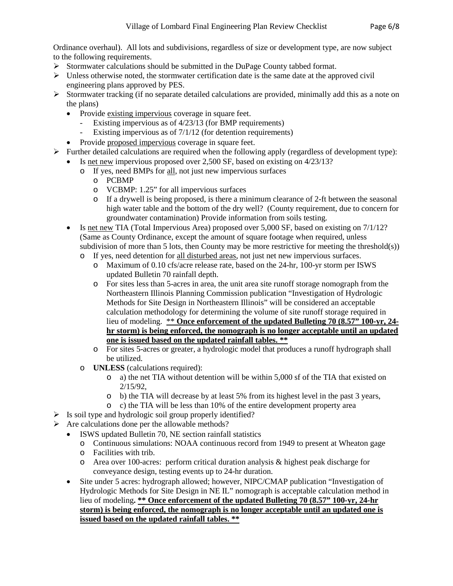Ordinance overhaul). All lots and subdivisions, regardless of size or development type, are now subject to the following requirements.

- $\triangleright$  Stormwater calculations should be submitted in the DuPage County tabbed format.
- $\triangleright$  Unless otherwise noted, the stormwater certification date is the same date at the approved civil engineering plans approved by PES.
- Stormwater tracking (if no separate detailed calculations are provided, minimally add this as a note on the plans)
	- Provide existing impervious coverage in square feet.
		- Existing impervious as of 4/23/13 (for BMP requirements)
		- Existing impervious as of  $7/1/12$  (for detention requirements)
	- Provide proposed impervious coverage in square feet.
- $\triangleright$  Further detailed calculations are required when the following apply (regardless of development type):
- Is net new impervious proposed over 2,500 SF, based on existing on  $4/23/13$ ?
	- o If yes, need BMPs for all, not just new impervious surfaces
		- o PCBMP
		- o VCBMP: 1.25" for all impervious surfaces
		- o If a drywell is being proposed, is there a minimum clearance of 2-ft between the seasonal high water table and the bottom of the dry well? (County requirement, due to concern for groundwater contamination) Provide information from soils testing.
	- Is net new TIA (Total Impervious Area) proposed over 5,000 SF, based on existing on 7/1/12? (Same as County Ordinance, except the amount of square footage when required, unless subdivision of more than 5 lots, then County may be more restrictive for meeting the threshold $(s)$ )
		- o If yes, need detention for all disturbed areas, not just net new impervious surfaces.
			- o Maximum of 0.10 cfs/acre release rate, based on the 24-hr, 100-yr storm per ISWS updated Bulletin 70 rainfall depth.
			- o For sites less than 5-acres in area, the unit area site runoff storage nomograph from the Northeastern Illinois Planning Commission publication "Investigation of Hydrologic Methods for Site Design in Northeastern Illinois" will be considered an acceptable calculation methodology for determining the volume of site runoff storage required in lieu of modeling. \*\* **Once enforcement of the updated Bulleting 70 (8.57" 100-yr, 24 hr storm) is being enforced, the nomograph is no longer acceptable until an updated one is issued based on the updated rainfall tables. \*\***
			- o For sites 5-acres or greater, a hydrologic model that produces a runoff hydrograph shall be utilized.
		- o **UNLESS** (calculations required):
			- o a) the net TIA without detention will be within 5,000 sf of the TIA that existed on 2/15/92,
			- o b) the TIA will decrease by at least 5% from its highest level in the past 3 years,
			- o c) the TIA will be less than 10% of the entire development property area
- $\triangleright$  Is soil type and hydrologic soil group properly identified?
- $\triangleright$  Are calculations done per the allowable methods?
	- ISWS updated Bulletin 70, NE section rainfall statistics
		- o Continuous simulations: NOAA continuous record from 1949 to present at Wheaton gage
		- o Facilities with trib.
		- o Area over 100-acres: perform critical duration analysis & highest peak discharge for conveyance design, testing events up to 24-hr duration.
	- Site under 5 acres: hydrograph allowed; however, NIPC/CMAP publication "Investigation of Hydrologic Methods for Site Design in NE IL" nomograph is acceptable calculation method in lieu of modeling**. \*\* Once enforcement of the updated Bulleting 70 (8.57" 100-yr, 24-hr storm) is being enforced, the nomograph is no longer acceptable until an updated one is issued based on the updated rainfall tables. \*\***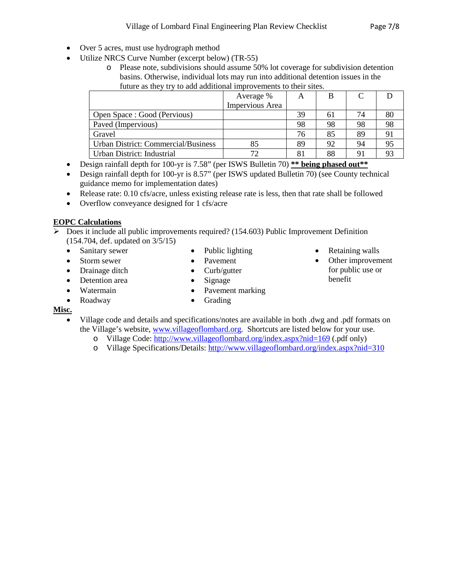- 
- Over 5 acres, must use hydrograph method
- Utilize NRCS Curve Number (excerpt below) (TR-55)
	- o Please note, subdivisions should assume 50% lot coverage for subdivision detention basins. Otherwise, individual lots may run into additional detention issues in the future as they try to add additional improvements to their sites.

| Average %       | A  | В  |    |    |
|-----------------|----|----|----|----|
| Impervious Area |    |    |    |    |
|                 | 39 | 61 | 74 | 80 |
|                 | 98 | 98 | 98 | 98 |
|                 | 76 | 85 | 89 |    |
|                 | 89 | 92 | 94 |    |
|                 | 81 | 88 | 91 |    |
|                 |    |    |    |    |

- Design rainfall depth for 100-yr is 7.58" (per ISWS Bulletin 70) \*\* **being phased out**\*\*
- Design rainfall depth for 100-yr is 8.57" (per ISWS updated Bulletin 70) (see County technical guidance memo for implementation dates)
- Release rate: 0.10 cfs/acre, unless existing release rate is less, then that rate shall be followed
- Overflow conveyance designed for 1 cfs/acre

# **EOPC Calculations**

- Does it include all public improvements required? (154.603) Public Improvement Definition (154.704, def. updated on 3/5/15)
	- Sanitary sewer
	- Storm sewer
	- Drainage ditch
	- Detention area
	- Watermain
	- Roadway
- Public lighting • Pavement
- Curb/gutter
- Signage
- Pavement marking • Grading
- Retaining walls
- Other improvement for public use or benefit

# **Misc.**

- Village code and details and specifications/notes are available in both .dwg and .pdf formats on the Village's website, [www.villageoflombard.org.](http://www.villageoflombard.org/) Shortcuts are listed below for your use.
	- o Village Code:<http://www.villageoflombard.org/index.aspx?nid=169> (.pdf only)
	- o Village Specifications/Details:<http://www.villageoflombard.org/index.aspx?nid=310>